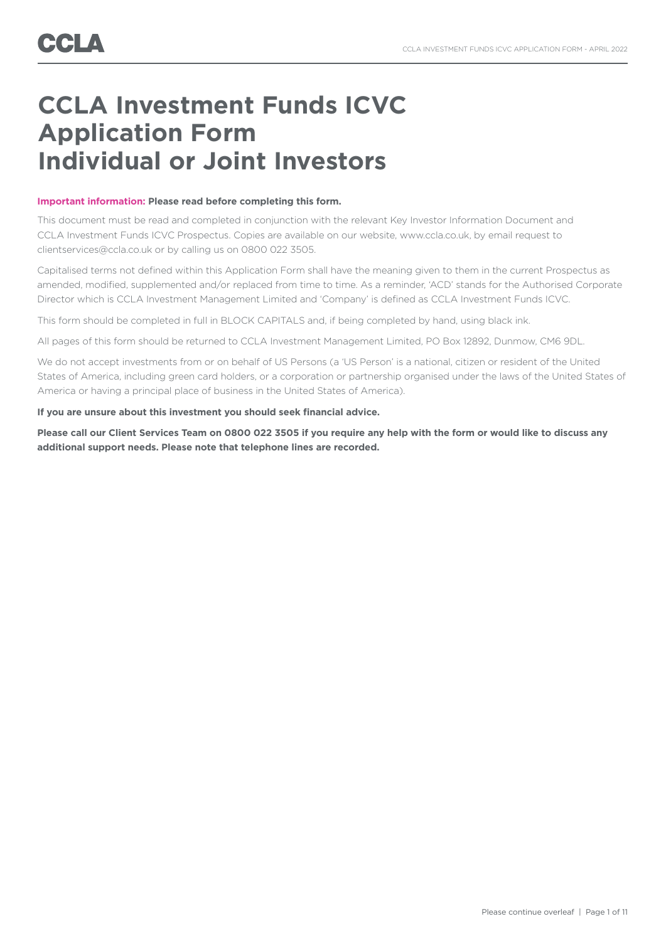# **CCLA Investment Funds ICVC Application Form Individual or Joint Investors**

### **Important information: Please read before completing this form.**

This document must be read and completed in conjunction with the relevant Key Investor Information Document and CCLA Investment Funds ICVC Prospectus. Copies are available on our website, www.ccla.co.uk, by email request to clientservices@ccla.co.uk or by calling us on 0800 022 3505.

Capitalised terms not defined within this Application Form shall have the meaning given to them in the current Prospectus as amended, modified, supplemented and/or replaced from time to time. As a reminder, 'ACD' stands for the Authorised Corporate Director which is CCLA Investment Management Limited and 'Company' is defined as CCLA Investment Funds ICVC.

This form should be completed in full in BLOCK CAPITALS and, if being completed by hand, using black ink.

All pages of this form should be returned to CCLA Investment Management Limited, PO Box 12892, Dunmow, CM6 9DL.

We do not accept investments from or on behalf of US Persons (a 'US Person' is a national, citizen or resident of the United States of America, including green card holders, or a corporation or partnership organised under the laws of the United States of America or having a principal place of business in the United States of America).

### **If you are unsure about this investment you should seek financial advice.**

**Please call our Client Services Team on 0800 022 3505 if you require any help with the form or would like to discuss any additional support needs. Please note that telephone lines are recorded.**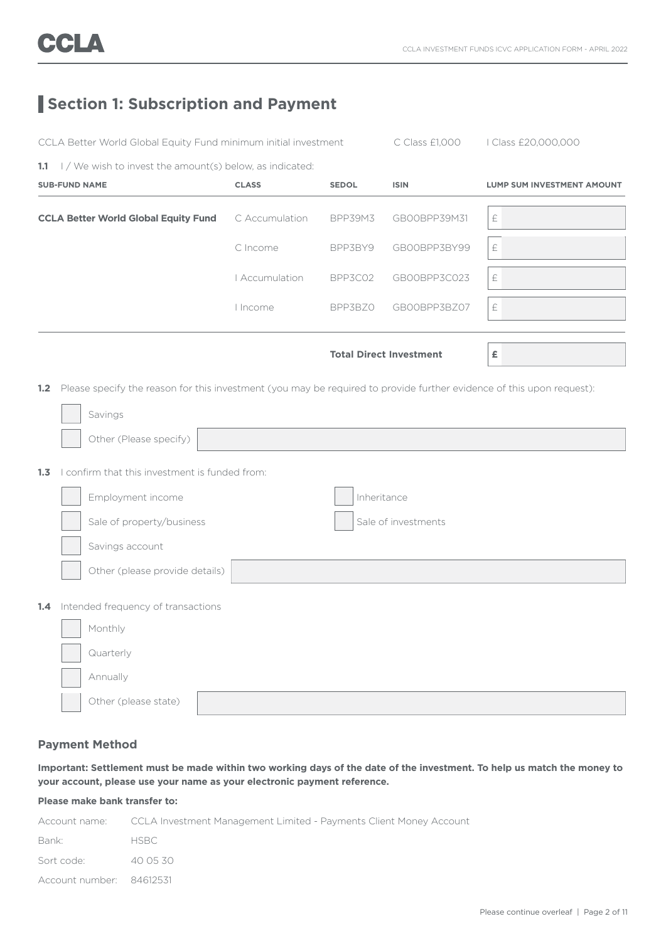### **Section 1: Subscription and Payment**

CCLA Better World Global Equity Fund minimum initial investment C Class £1,000 I Class £20,000,000

**1.1 I** / We wish to invest the amount(s) below, as indicated:

| <b>SUB-FUND NAME</b>                        | <b>CLASS</b>   | <b>SEDOL</b> | <b>ISIN</b>                    | <b>LUMP SUM INVESTMENT AMOUNT</b> |
|---------------------------------------------|----------------|--------------|--------------------------------|-----------------------------------|
| <b>CCLA Better World Global Equity Fund</b> | C Accumulation | BPP39M3      | GB00BPP39M31                   | £                                 |
|                                             | C Income       | BPP3BY9      | GB00BPP3BY99                   | $\pm$                             |
|                                             | l Accumulation | BPP3C02      | GB00BPP3C023                   | £                                 |
|                                             | I Income       | BPP3BZ0      | GB00BPP3BZ07                   | £                                 |
|                                             |                |              |                                |                                   |
|                                             |                |              | <b>Total Direct Investment</b> | £                                 |

**1.2** Please specify the reason for this investment (you may be required to provide further evidence of this upon request):

|     | Savings                                          |
|-----|--------------------------------------------------|
|     | Other (Please specify)                           |
| 1.3 | confirm that this investment is funded from:     |
|     | Employment income<br>Inheritance                 |
|     | Sale of property/business<br>Sale of investments |
|     | Savings account                                  |
|     | Other (please provide details)                   |
| 1.4 | Intended frequency of transactions               |
|     | Monthly                                          |
|     | Quarterly                                        |
|     | Annually                                         |
|     | Other (please state)                             |

### **Payment Method**

**Important: Settlement must be made within two working days of the date of the investment. To help us match the money to your account, please use your name as your electronic payment reference.**

### **Please make bank transfer to:**

|                          | Account name: CCLA Investment Management Limited - Payments Client Money Account |
|--------------------------|----------------------------------------------------------------------------------|
| Bank:                    | HSBC.                                                                            |
| Sort code:               | 40 05 30                                                                         |
| Account number: 84612531 |                                                                                  |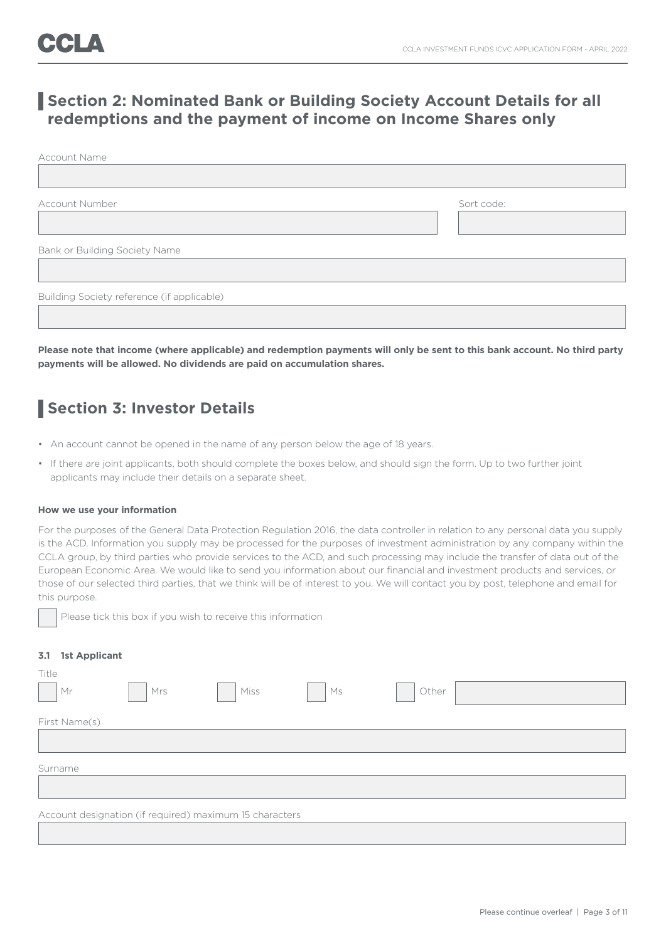# CCLI

### **Section 2: Nominated Bank or Building Society Account Details for all redemptions and the payment of income on Income Shares only**

| <b>Account Name</b>                        |            |
|--------------------------------------------|------------|
|                                            |            |
| <b>Account Number</b>                      | Sort code: |
|                                            |            |
| Bank or Building Society Name              |            |
|                                            |            |
| Building Society reference (if applicable) |            |
|                                            |            |

**Please note that income (where applicable) and redemption payments will only be sent to this bank account. No third party payments will be allowed. No dividends are paid on accumulation shares.**

## **Section 3: Investor Details**

- An account cannot be opened in the name of any person below the age of 18 years.
- If there are joint applicants, both should complete the boxes below, and should sign the form. Up to two further joint applicants may include their details on a separate sheet.

### **How we use your information**

For the purposes of the General Data Protection Regulation 2016, the data controller in relation to any personal data you supply is the ACD. Information you supply may be processed for the purposes of investment administration by any company within the CCLA group, by third parties who provide services to the ACD, and such processing may include the transfer of data out of the European Economic Area. We would like to send you information about our financial and investment products and services, or those of our selected third parties, that we think will be of interest to you. We will contact you by post, telephone and email for this purpose.

| Please tick this box if you wish to receive this information |  |  |  |
|--------------------------------------------------------------|--|--|--|

### **3.1 1st Applicant**

| Title         |     |                                                         |    |       |  |
|---------------|-----|---------------------------------------------------------|----|-------|--|
| Mr            | Mrs | Miss                                                    | Ms | Other |  |
|               |     |                                                         |    |       |  |
| First Name(s) |     |                                                         |    |       |  |
|               |     |                                                         |    |       |  |
| Surname       |     |                                                         |    |       |  |
|               |     |                                                         |    |       |  |
|               |     |                                                         |    |       |  |
|               |     | Account designation (if required) maximum 15 characters |    |       |  |
|               |     |                                                         |    |       |  |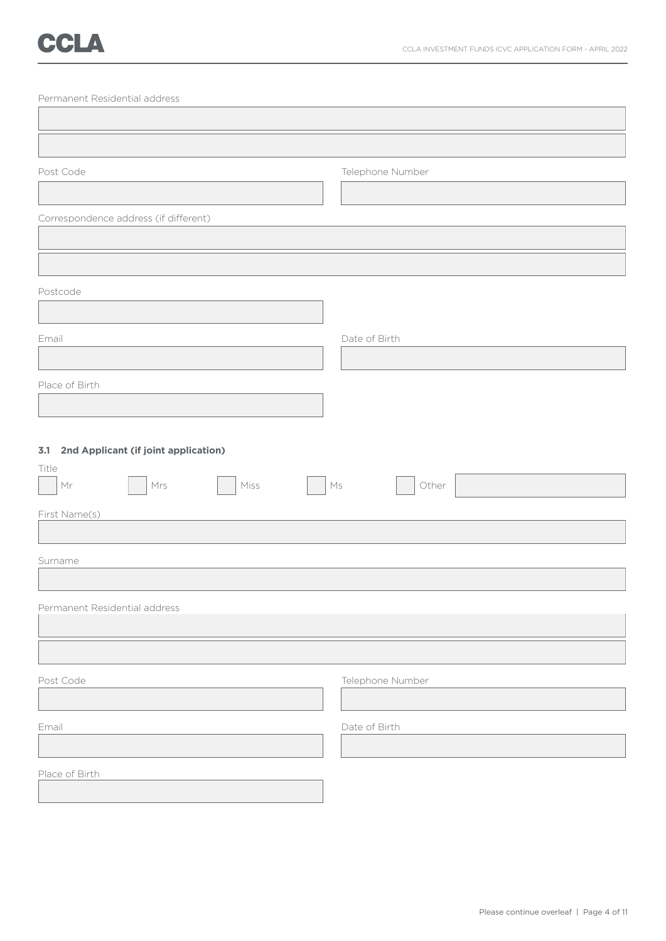| Permanent Residential address            |                                                    |
|------------------------------------------|----------------------------------------------------|
|                                          |                                                    |
|                                          |                                                    |
| Post Code                                | Telephone Number                                   |
|                                          |                                                    |
| Correspondence address (if different)    |                                                    |
|                                          |                                                    |
|                                          |                                                    |
| Postcode                                 |                                                    |
|                                          |                                                    |
| Email                                    | Date of Birth                                      |
|                                          |                                                    |
| Place of Birth                           |                                                    |
|                                          |                                                    |
|                                          |                                                    |
| 3.1 2nd Applicant (if joint application) |                                                    |
| Title<br>$\mathsf{Mr}$<br>$Mrs$<br>Miss  | $\mathrel{\mathop{\mathsf{MS}}}\nolimits$<br>Other |
|                                          |                                                    |
| First Name(s)                            |                                                    |
|                                          |                                                    |
| Surname                                  |                                                    |
| Permanent Residential address            |                                                    |
|                                          |                                                    |
|                                          |                                                    |
| Post Code                                | Telephone Number                                   |
|                                          |                                                    |
| Email                                    | Date of Birth                                      |
|                                          |                                                    |
| Place of Birth                           |                                                    |
|                                          |                                                    |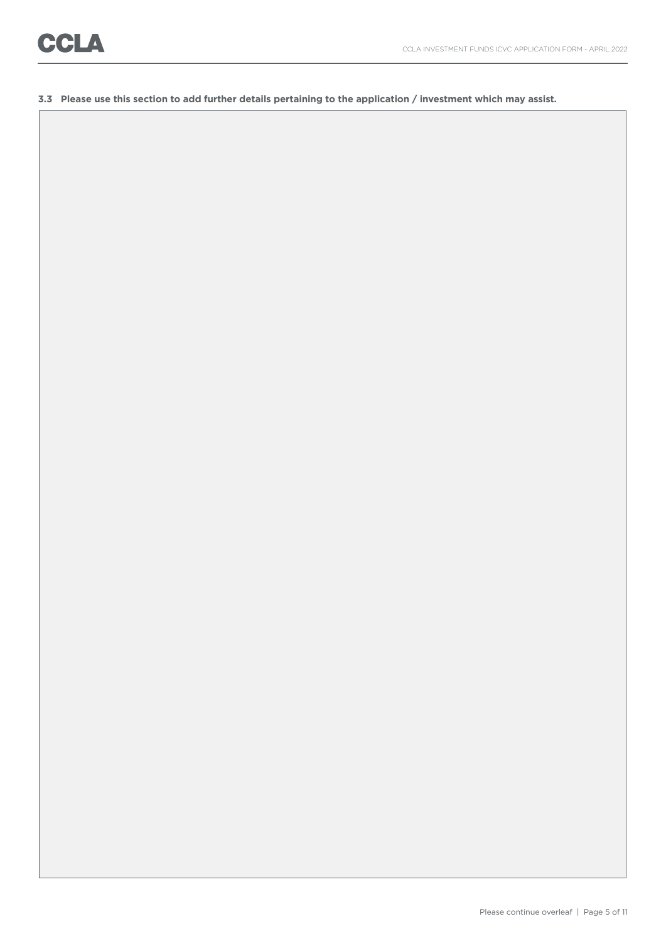**3.3 Please use this section to add further details pertaining to the application / investment which may assist.**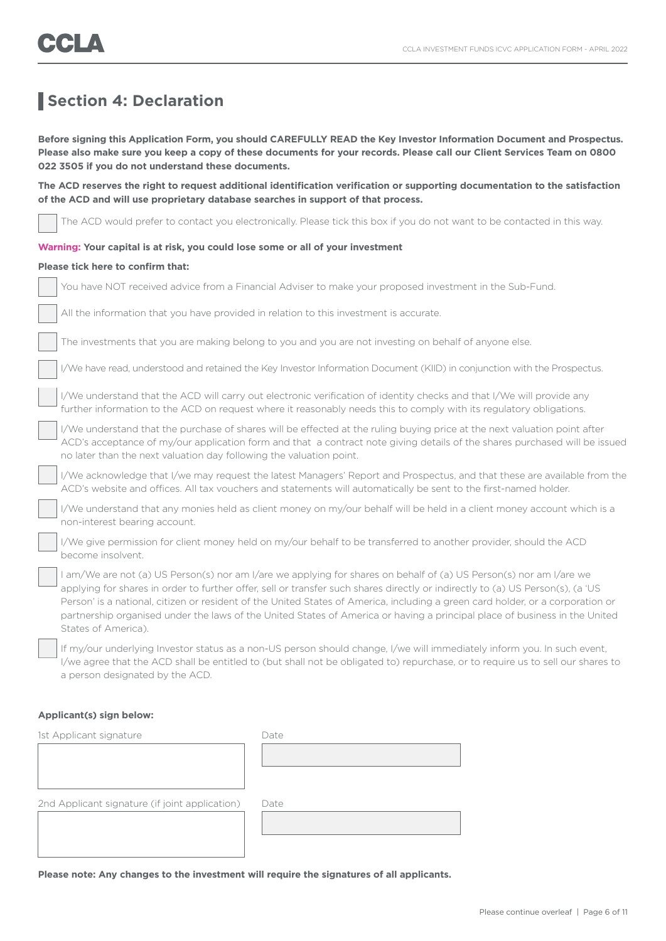## **Section 4: Declaration**

**Before signing this Application Form, you should CAREFULLY READ the Key Investor Information Document and Prospectus. Please also make sure you keep a copy of these documents for your records. Please call our Client Services Team on 0800 022 3505 if you do not understand these documents.**

**The ACD reserves the right to request additional identification verification or supporting documentation to the satisfaction of the ACD and will use proprietary database searches in support of that process.**

The ACD would prefer to contact you electronically. Please tick this box if you do not want to be contacted in this way.

### **Warning: Your capital is at risk, you could lose some or all of your investment**

### **Please tick here to confirm that:**

| You have NOT received advice from a Financial Adviser to make your proposed investment in the Sub-Fund.                                                                                                                                                                                                                                                                                                                                                                                                                                     |
|---------------------------------------------------------------------------------------------------------------------------------------------------------------------------------------------------------------------------------------------------------------------------------------------------------------------------------------------------------------------------------------------------------------------------------------------------------------------------------------------------------------------------------------------|
| All the information that you have provided in relation to this investment is accurate.                                                                                                                                                                                                                                                                                                                                                                                                                                                      |
| The investments that you are making belong to you and you are not investing on behalf of anyone else.                                                                                                                                                                                                                                                                                                                                                                                                                                       |
| I/We have read, understood and retained the Key Investor Information Document (KIID) in conjunction with the Prospectus.                                                                                                                                                                                                                                                                                                                                                                                                                    |
| I/We understand that the ACD will carry out electronic verification of identity checks and that I/We will provide any<br>further information to the ACD on request where it reasonably needs this to comply with its regulatory obligations.                                                                                                                                                                                                                                                                                                |
| I/We understand that the purchase of shares will be effected at the ruling buying price at the next valuation point after<br>ACD's acceptance of my/our application form and that a contract note giving details of the shares purchased will be issued<br>no later than the next valuation day following the valuation point.                                                                                                                                                                                                              |
| I/We acknowledge that I/we may request the latest Managers' Report and Prospectus, and that these are available from the<br>ACD's website and offices. All tax vouchers and statements will automatically be sent to the first-named holder.                                                                                                                                                                                                                                                                                                |
| I/We understand that any monies held as client money on my/our behalf will be held in a client money account which is a<br>non-interest bearing account.                                                                                                                                                                                                                                                                                                                                                                                    |
| I/We give permission for client money held on my/our behalf to be transferred to another provider, should the ACD<br>become insolvent.                                                                                                                                                                                                                                                                                                                                                                                                      |
| I am/We are not (a) US Person(s) nor am I/are we applying for shares on behalf of (a) US Person(s) nor am I/are we<br>applying for shares in order to further offer, sell or transfer such shares directly or indirectly to (a) US Person(s), (a 'US<br>Person' is a national, citizen or resident of the United States of America, including a green card holder, or a corporation or<br>partnership organised under the laws of the United States of America or having a principal place of business in the United<br>States of America). |
| If my/our underlying Investor status as a non-US person should change, I/we will immediately inform you. In such event,<br>I/we agree that the ACD shall be entitled to (but shall not be obligated to) repurchase, or to require us to sell our shares to<br>a person designated by the ACD.                                                                                                                                                                                                                                               |

### **Applicant(s) sign below:**

| 1st Applicant signature                        | Date |
|------------------------------------------------|------|
|                                                |      |
|                                                |      |
|                                                |      |
| 2nd Applicant signature (if joint application) | Date |
|                                                |      |
|                                                |      |

**Please note: Any changes to the investment will require the signatures of all applicants.**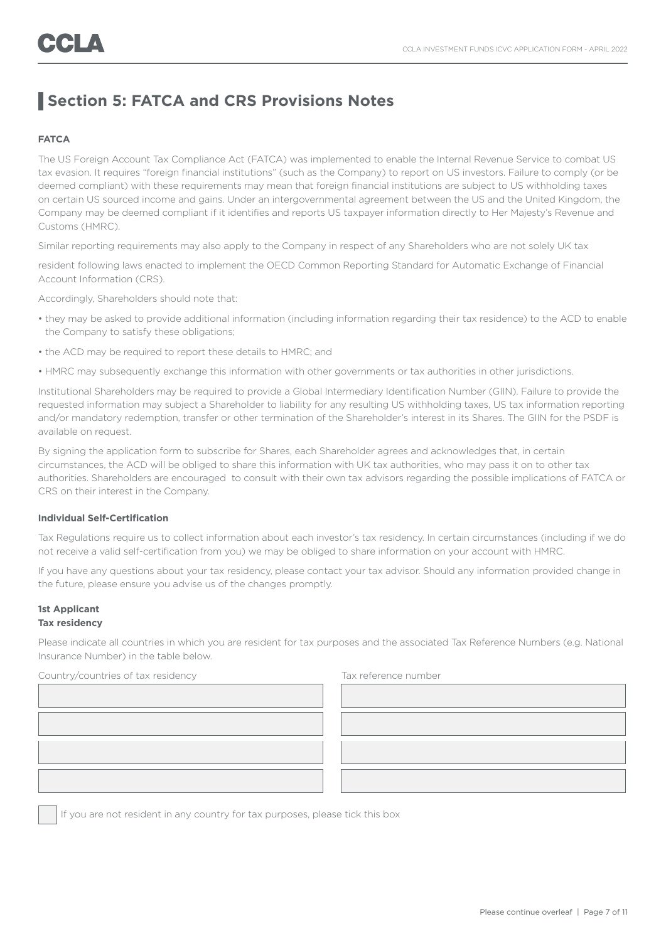### **Section 5: FATCA and CRS Provisions Notes**

### **FATCA**

The US Foreign Account Tax Compliance Act (FATCA) was implemented to enable the Internal Revenue Service to combat US tax evasion. It requires "foreign financial institutions" (such as the Company) to report on US investors. Failure to comply (or be deemed compliant) with these requirements may mean that foreign financial institutions are subject to US withholding taxes on certain US sourced income and gains. Under an intergovernmental agreement between the US and the United Kingdom, the Company may be deemed compliant if it identifies and reports US taxpayer information directly to Her Majesty's Revenue and Customs (HMRC).

Similar reporting requirements may also apply to the Company in respect of any Shareholders who are not solely UK tax

resident following laws enacted to implement the OECD Common Reporting Standard for Automatic Exchange of Financial Account Information (CRS).

Accordingly, Shareholders should note that:

- they may be asked to provide additional information (including information regarding their tax residence) to the ACD to enable the Company to satisfy these obligations;
- the ACD may be required to report these details to HMRC; and
- HMRC may subsequently exchange this information with other governments or tax authorities in other jurisdictions.

Institutional Shareholders may be required to provide a Global Intermediary Identification Number (GIIN). Failure to provide the requested information may subject a Shareholder to liability for any resulting US withholding taxes, US tax information reporting and/or mandatory redemption, transfer or other termination of the Shareholder's interest in its Shares. The GIIN for the PSDF is available on request.

By signing the application form to subscribe for Shares, each Shareholder agrees and acknowledges that, in certain circumstances, the ACD will be obliged to share this information with UK tax authorities, who may pass it on to other tax authorities. Shareholders are encouraged to consult with their own tax advisors regarding the possible implications of FATCA or CRS on their interest in the Company.

#### **Individual Self-Certification**

Tax Regulations require us to collect information about each investor's tax residency. In certain circumstances (including if we do not receive a valid self-certification from you) we may be obliged to share information on your account with HMRC.

If you have any questions about your tax residency, please contact your tax advisor. Should any information provided change in the future, please ensure you advise us of the changes promptly.

### **1st Applicant**

### **Tax residency**

Please indicate all countries in which you are resident for tax purposes and the associated Tax Reference Numbers (e.g. National Insurance Number) in the table below.

Country/countries of tax residency Tax reference number

If you are not resident in any country for tax purposes, please tick this box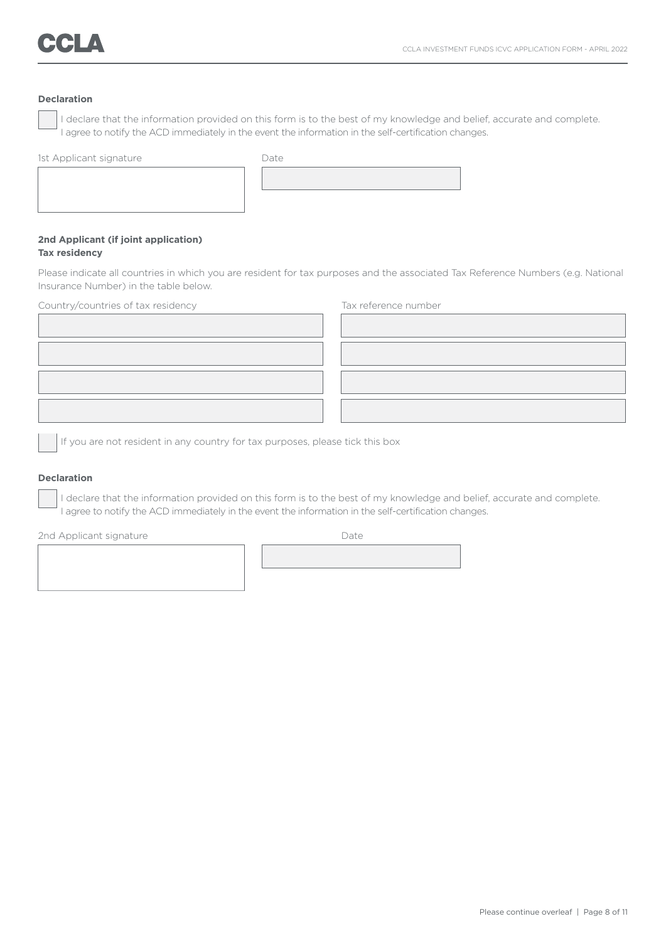

#### **Declaration**

 I declare that the information provided on this form is to the best of my knowledge and belief, accurate and complete. I agree to notify the ACD immediately in the event the information in the self-certification changes.

| 1st Applicant signature | Date |  |  |  |  |  |
|-------------------------|------|--|--|--|--|--|
|-------------------------|------|--|--|--|--|--|

| ×                           |                  |  |
|-----------------------------|------------------|--|
| and the control of the con- | $\sim$<br>$\sim$ |  |

### **2nd Applicant (if joint application) Tax residency**

Please indicate all countries in which you are resident for tax purposes and the associated Tax Reference Numbers (e.g. National Insurance Number) in the table below.

Country/countries of tax residency Tax reference number

| Codituly/coditules of tax residency | TAY LETER TICE TIMITIMEL |
|-------------------------------------|--------------------------|
|                                     |                          |
|                                     |                          |
|                                     |                          |
|                                     |                          |
|                                     |                          |
|                                     |                          |
|                                     |                          |
|                                     |                          |
|                                     |                          |
|                                     |                          |
|                                     |                          |
|                                     |                          |
|                                     |                          |

If you are not resident in any country for tax purposes, please tick this box

### **Declaration**

 I declare that the information provided on this form is to the best of my knowledge and belief, accurate and complete. I agree to notify the ACD immediately in the event the information in the self-certification changes.

2nd Applicant signature Date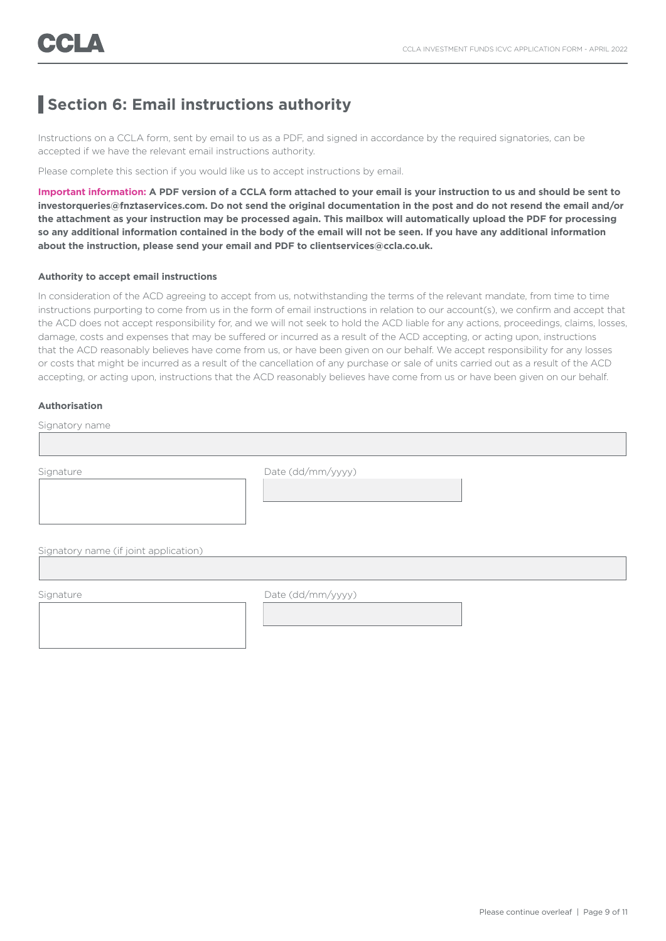### **Section 6: Email instructions authority**

Instructions on a CCLA form, sent by email to us as a PDF, and signed in accordance by the required signatories, can be accepted if we have the relevant email instructions authority.

Please complete this section if you would like us to accept instructions by email.

**Important information: A PDF version of a CCLA form attached to your email is your instruction to us and should be sent to [investorqueries@fnztaservices.com](mailto:investorqueries@fnztaservices.com). Do not send the original documentation in the post and do not resend the email and/or the attachment as your instruction may be processed again. This mailbox will automatically upload the PDF for processing so any additional information contained in the body of the email will not be seen. If you have any additional information about the instruction, please send your email and PDF to clientservices@ccla.co.uk.**

### **Authority to accept email instructions**

In consideration of the ACD agreeing to accept from us, notwithstanding the terms of the relevant mandate, from time to time instructions purporting to come from us in the form of email instructions in relation to our account(s), we confirm and accept that the ACD does not accept responsibility for, and we will not seek to hold the ACD liable for any actions, proceedings, claims, losses, damage, costs and expenses that may be suffered or incurred as a result of the ACD accepting, or acting upon, instructions that the ACD reasonably believes have come from us, or have been given on our behalf. We accept responsibility for any losses or costs that might be incurred as a result of the cancellation of any purchase or sale of units carried out as a result of the ACD accepting, or acting upon, instructions that the ACD reasonably believes have come from us or have been given on our behalf.

### **Authorisation**

| Signatory name                        |                   |  |
|---------------------------------------|-------------------|--|
|                                       |                   |  |
|                                       |                   |  |
| Signature                             | Date (dd/mm/yyyy) |  |
|                                       |                   |  |
|                                       |                   |  |
|                                       |                   |  |
|                                       |                   |  |
|                                       |                   |  |
| Signatory name (if joint application) |                   |  |
|                                       |                   |  |
|                                       |                   |  |
| Signature                             | Date (dd/mm/yyyy) |  |
|                                       |                   |  |
|                                       |                   |  |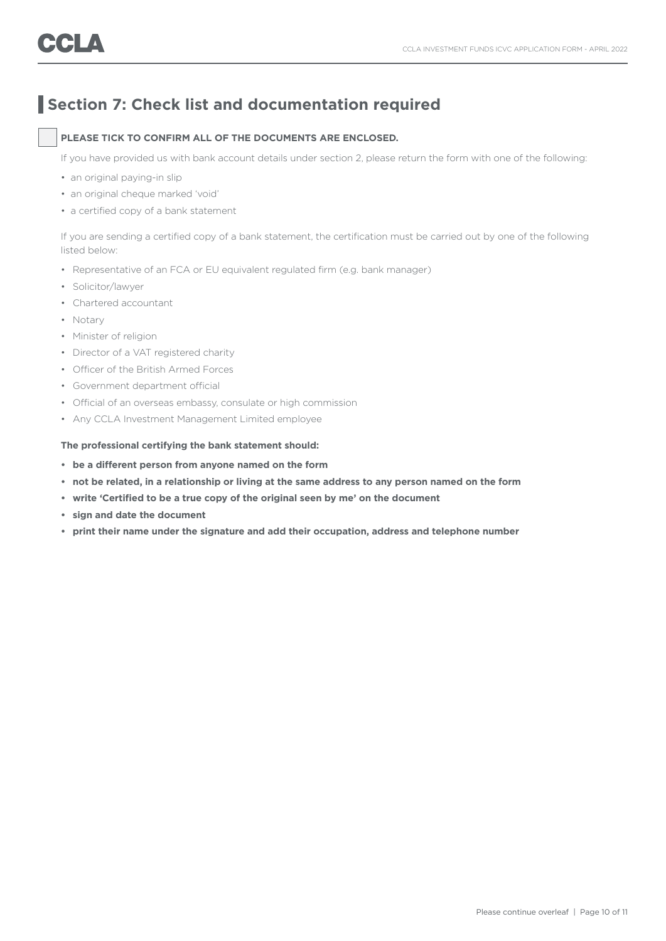### **Section 7: Check list and documentation required**

### **PLEASE TICK TO CONFIRM ALL OF THE DOCUMENTS ARE ENCLOSED.**

If you have provided us with bank account details under section 2, please return the form with one of the following:

- an original paying-in slip
- an original cheque marked 'void'
- a certified copy of a bank statement

If you are sending a certified copy of a bank statement, the certification must be carried out by one of the following listed below:

- Representative of an FCA or EU equivalent regulated firm (e.g. bank manager)
- Solicitor/lawyer
- Chartered accountant
- Notary
- Minister of religion
- Director of a VAT registered charity
- Officer of the British Armed Forces
- Government department official
- Official of an overseas embassy, consulate or high commission
- Any CCLA Investment Management Limited employee

### **The professional certifying the bank statement should:**

- **be a different person from anyone named on the form**
- **not be related, in a relationship or living at the same address to any person named on the form**
- **write 'Certified to be a true copy of the original seen by me' on the document**
- **sign and date the document**
- **• print their name under the signature and add their occupation, address and telephone number**